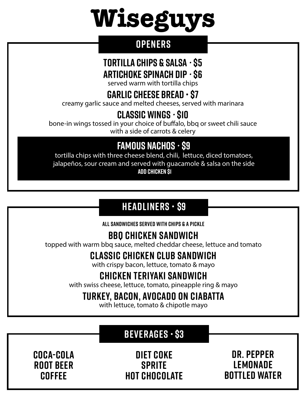# **Wiseguys**

#### **Openers**

## **TORTILLA CHIPS & SALSA** *•* **\$5**

**Artichoke SPINACH DIP** *•* **\$6**

served warm with tortilla chips

## **GARLIC CHEESE BREAD • \$7**

creamy garlic sauce and melted cheeses, served with marinara

## **CLASSIC WINGS** *•* **\$10**

bone-in wings tossed in your choice of buffalo, bbq or sweet chili sauce with a side of carrots & celery

## **FAMOUS Nachos** *•* **\$9**

tortilla chips with three cheese blend, chili, lettuce, diced tomatoes, jalapeños, sour cream and served with guacamole & salsa on the side **add CHICKEN \$1**

## **HEADLINERS • \$9**

**All SANDWICHes SERVED WITH CHIPS & a PICKLE**

## **BBQ CHICKEN SANDWICH**

topped with warm bbq sauce, melted cheddar cheese, lettuce and tomato

## **CLASSIC CHICKEN CLUB SANDWICH**

with crispy bacon, lettuce, tomato & mayo

## **CHICKEN TERIYAKI SANDWICH**

with swiss cheese, lettuce, tomato, pineapple ring & mayo

## **turkey, bacon, avocado on ciabatta**

with lettuce, tomato & chipotle mayo

## **Beverages • \$3**

**Coca-cola ROOT BEER Coffee**

**DIET Coke Sprite Hot chocolate**

**DR. Pepper Lemonade Bottled water**